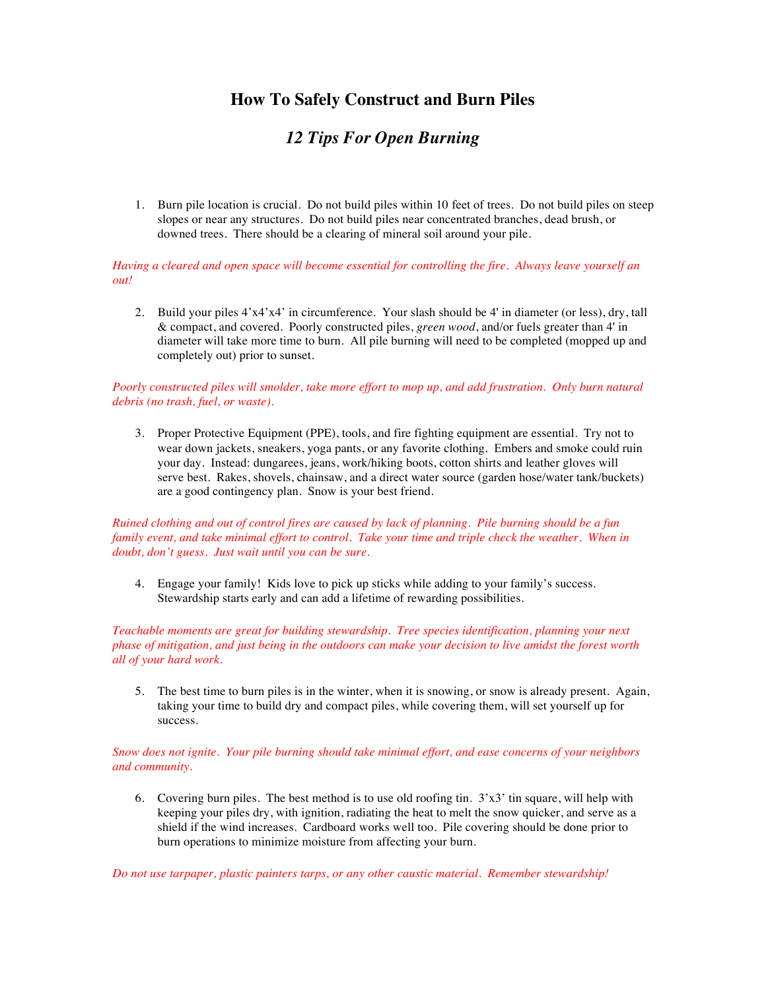# **How To Safely Construct and Burn Piles**

# *12 Tips For Open Burning*

1. Burn pile location is crucial. Do not build piles within 10 feet of trees. Do not build piles on steep slopes or near any structures. Do not build piles near concentrated branches, dead brush, or downed trees. There should be a clearing of mineral soil around your pile.

### *Having a cleared and open space will become essential for controlling the fire. Always leave yourself an out!*

2. Build your piles 4'x4'x4' in circumference. Your slash should be 4' in diameter (or less), dry, tall & compact, and covered. Poorly constructed piles, *green wood*, and/or fuels greater than 4' in diameter will take more time to burn. All pile burning will need to be completed (mopped up and completely out) prior to sunset.

# *Poorly constructed piles will smolder, take more effort to mop up, and add frustration. Only burn natural debris (no trash, fuel, or waste).*

3. Proper Protective Equipment (PPE), tools, and fire fighting equipment are essential. Try not to wear down jackets, sneakers, yoga pants, or any favorite clothing. Embers and smoke could ruin your day. Instead: dungarees, jeans, work/hiking boots, cotton shirts and leather gloves will serve best. Rakes, shovels, chainsaw, and a direct water source (garden hose/water tank/buckets) are a good contingency plan. Snow is your best friend.

## *Ruined clothing and out of control fires are caused by lack of planning. Pile burning should be a fun family event, and take minimal effort to control. Take your time and triple check the weather. When in doubt, don't guess. Just wait until you can be sure.*

4. Engage your family! Kids love to pick up sticks while adding to your family's success. Stewardship starts early and can add a lifetime of rewarding possibilities.

*Teachable moments are great for building stewardship. Tree species identification, planning your next phase of mitigation, and just being in the outdoors can make your decision to live amidst the forest worth all of your hard work.*

5. The best time to burn piles is in the winter, when it is snowing, or snow is already present. Again, taking your time to build dry and compact piles, while covering them, will set yourself up for success.

## *Snow does not ignite. Your pile burning should take minimal effort, and ease concerns of your neighbors and community.*

6. Covering burn piles. The best method is to use old roofing tin.  $3'x3'$  tin square, will help with keeping your piles dry, with ignition, radiating the heat to melt the snow quicker, and serve as a shield if the wind increases. Cardboard works well too. Pile covering should be done prior to burn operations to minimize moisture from affecting your burn.

*Do not use tarpaper, plastic painters tarps, or any other caustic material. Remember stewardship!*